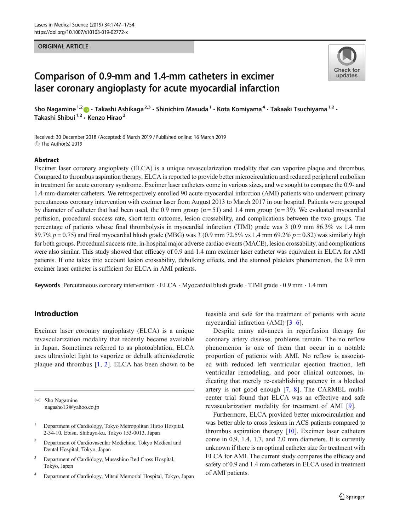#### ORIGINAL ARTICLE



# Comparison of 0.9-mm and 1.4-mm catheters in excimer laser coronary angioplasty for acute myocardial infarction

Sho Nagamine<sup>1,2</sup>  $\cdot$  Takashi Ashikaga<sup>2,3</sup>  $\cdot$  Shinichiro Masuda<sup>1</sup>  $\cdot$  Kota Komiyama<sup>4</sup>  $\cdot$  Takaaki Tsuchiyama<sup>1,2</sup>  $\cdot$ Takashi Shibui<sup>1,2</sup> · Kenzo Hirao<sup>2</sup>

Received: 30 December 2018 / Accepted: 6 March 2019 / Published online: 16 March 2019 C The Author(s) 2019

#### Abstract

Excimer laser coronary angioplasty (ELCA) is a unique revascularization modality that can vaporize plaque and thrombus. Compared to thrombus aspiration therapy, ELCA is reported to provide better microcirculation and reduced peripheral embolism in treatment for acute coronary syndrome. Excimer laser catheters come in various sizes, and we sought to compare the 0.9- and 1.4-mm-diameter catheters. We retrospectively enrolled 90 acute myocardial infarction (AMI) patients who underwent primary percutaneous coronary intervention with excimer laser from August 2013 to March 2017 in our hospital. Patients were grouped by diameter of catheter that had been used, the 0.9 mm group ( $n = 51$ ) and 1.4 mm group ( $n = 39$ ). We evaluated myocardial perfusion, procedural success rate, short-term outcome, lesion crossability, and complications between the two groups. The percentage of patients whose final thrombolysis in myocardial infarction (TIMI) grade was 3 (0.9 mm 86.3% vs 1.4 mm 89.7%  $p = 0.75$ ) and final myocardial blush grade (MBG) was 3 (0.9 mm 72.5% vs 1.4 mm 69.2%  $p = 0.82$ ) was similarly high for both groups. Procedural success rate, in-hospital major adverse cardiac events (MACE), lesion crossability, and complications were also similar. This study showed that efficacy of 0.9 and 1.4 mm excimer laser catheter was equivalent in ELCA for AMI patients. If one takes into account lesion crossability, debulking effects, and the stunned platelets phenomenon, the 0.9 mm excimer laser catheter is sufficient for ELCA in AMI patients.

Keywords Percutaneous coronary intervention  $\cdot$  ELCA  $\cdot$  Myocardial blush grade  $\cdot$  TIMI grade  $\cdot$  0.9 mm  $\cdot$  1.4 mm

# Introduction

Excimer laser coronary angioplasty (ELCA) is a unique revascularization modality that recently became available in Japan. Sometimes referred to as photoablation, ELCA uses ultraviolet light to vaporize or debulk atherosclerotic plaque and thrombus [\[1](#page-6-0), [2](#page-6-0)]. ELCA has been shown to be

 $\boxtimes$  Sho Nagamine [nagasho13@yahoo.co.jp](mailto:nagasho13@yahoo.co.jp)

- <sup>1</sup> Department of Cardiology, Tokyo Metropolitan Hiroo Hospital, 2-34-10, Ebisu, Shibuya-ku, Tokyo 153-0013, Japan
- <sup>2</sup> Department of Cardiovascular Medichine, Tokyo Medical and Dental Hospital, Tokyo, Japan
- <sup>3</sup> Department of Cardiology, Musashino Red Cross Hospital, Tokyo, Japan
- <sup>4</sup> Department of Cardiology, Mitsui Memorial Hospital, Tokyo, Japan

feasible and safe for the treatment of patients with acute myocardial infarction (AMI) [[3](#page-6-0)–[6\]](#page-6-0).

Despite many advances in reperfusion therapy for coronary artery disease, problems remain. The no reflow phenomenon is one of them that occur in a notable proportion of patients with AMI. No reflow is associated with reduced left ventricular ejection fraction, left ventricular remodeling, and poor clinical outcomes, indicating that merely re-establishing patency in a blocked artery is not good enough [\[7,](#page-6-0) [8\]](#page-6-0). The CARMEL multicenter trial found that ELCA was an effective and safe revascularization modality for treatment of AMI [[9](#page-6-0)].

Furthermore, ELCA provided better microcirculation and was better able to cross lesions in ACS patients compared to thrombus aspiration therapy [[10\]](#page-7-0). Excimer laser catheters come in 0.9, 1.4, 1.7, and 2.0 mm diameters. It is currently unknown if there is an optimal catheter size for treatment with ELCA for AMI. The current study compares the efficacy and safety of 0.9 and 1.4 mm catheters in ELCA used in treatment of AMI patients.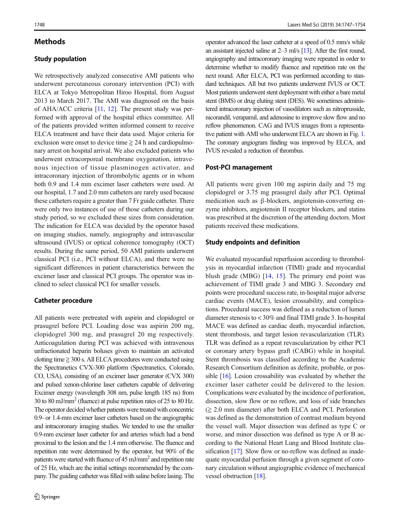### **Methods**

### Study population

We retrospectively analyzed consecutive AMI patients who underwent percutaneous coronary intervention (PCI) with ELCA at Tokyo Metropolitan Hiroo Hospital, from August 2013 to March 2017. The AMI was diagnosed on the basis of AHA/ACC criteria [[11](#page-7-0), [12](#page-7-0)]. The present study was performed with approval of the hospital ethics committee. All of the patients provided written informed consent to receive ELCA treatment and have their data used. Major criteria for exclusion were onset to device time  $\geq 24$  h and cardiopulmonary arrest on hospital arrival. We also excluded patients who underwent extracorporeal membrane oxygenation, intravenous injection of tissue plasminogen activator, and intracoronary injection of thrombolytic agents or in whom both 0.9 and 1.4 mm excimer laser catheters were used. At our hospital, 1.7 and 2.0 mm catheters are rarely used because these catheters require a greater than 7 Fr guide catheter. There were only two instances of use of those catheters during our study period, so we excluded these sizes from consideration. The indication for ELCA was decided by the operator based on imaging studies, namely, angiography and intravascular ultrasound (IVUS) or optical coherence tomography (OCT) results. During the same period, 50 AMI patients underwent classical PCI (i.e., PCI without ELCA), and there were no significant differences in patient characteristics between the excimer laser and classical PCI groups. The operator was inclined to select classical PCI for smaller vessels.

### Catheter procedure

All patients were pretreated with aspirin and clopidogrel or prasugrel before PCI. Loading dose was aspirin 200 mg, clopidogrel 300 mg, and prasugrel 20 mg respectively. Anticoagulation during PCI was achieved with intravenous unfractionated heparin boluses given to maintain an activated clotting time  $\geq$  300 s. All ELCA procedures were conducted using the Spectranetics CVX-300 platform (Spectranetics, Colorado, CO, USA), consisting of an excimer laser generator (CVX 300) and pulsed xenon-chlorine laser catheters capable of delivering Excimer energy (wavelength 308 nm, pulse length 185 ns) from 30 to 80 mJ/mm2 (fluence) at pulse repetition rates of 25 to 80 Hz. The operator decided whether patients were treated with concentric 0.9- or 1.4-mm excimer laser catheters based on the angiographic and intracoronary imaging studies. We tended to use the smaller 0.9-mm excimer laser catheter for and arteries which had a bend proximal to the lesion and the 1.4 mm otherwise. The fluence and repetition rate were determined by the operator, but 90% of the patients were started with fluence of 45 mJ/mm<sup>2</sup> and repetition rate of 25 Hz, which are the initial settings recommended by the company. The guiding catheter was filled with saline before lasing. The operator advanced the laser catheter at a speed of 0.5 mm/s while an assistant injected saline at 2–3 ml/s [[13\]](#page-7-0). After the first round, angiography and intracoronary imaging were repeated in order to determine whether to modify fluence and repetition rate on the next round. After ELCA, PCI was performed according to standard techniques. All but two patients underwent IVUS or OCT. Most patients underwent stent deployment with either a bare metal stent (BMS) or drug eluting stent (DES). We sometimes administered intracoronary injection of vasodilators such as nitroprusside, nicorandil, verapamil, and adenosine to improve slow flow and no reflow phenomenon. CAG and IVUS images from a representative patient with AMI who underwent ELCA are shown in Fig. [1.](#page-2-0) The coronary angiogram finding was improved by ELCA, and IVUS revealed a reduction of thrombus.

#### Post-PCI management

All patients were given 100 mg aspirin daily and 75 mg clopidogrel or 3.75 mg prasugrel daily after PCI. Optimal medication such as β-blockers, angiotensin-converting enzyme inhibitors, angiotensin II receptor blockers, and statins was prescribed at the discretion of the attending doctors. Most patients received these medications.

#### Study endpoints and definition

We evaluated myocardial reperfusion according to thrombolysis in myocardial infarction (TIMI) grade and myocardial blush grade (MBG)  $[14, 15]$  $[14, 15]$  $[14, 15]$  $[14, 15]$  $[14, 15]$ . The primary end point was achievement of TIMI grade 3 and MBG 3. Secondary end points were procedural success rate, in-hospital major adverse cardiac events (MACE), lesion crossability, and complications. Procedural success was defined as a reduction of lumen diameter stenosis to < 30% and final TIMI grade 3. In-hospital MACE was defined as cardiac death, myocardial infarction, stent thrombosis, and target lesion revascularization (TLR). TLR was defined as a repeat revascularization by either PCI or coronary artery bypass graft (CABG) while in hospital. Stent thrombosis was classified according to the Academic Research Consortium definition as definite, probable, or possible [[16](#page-7-0)]. Lesion crossability was evaluated by whether the excimer laser catheter could be delivered to the lesion. Complications were evaluated by the incidence of perforation, dissection, slow flow or no reflow, and loss of side branches  $(\geq 2.0 \text{ mm diameter})$  after both ELCA and PCI. Perforation was defined as the demonstration of contrast medium beyond the vessel wall. Major dissection was defined as type C or worse, and minor dissection was defined as type A or B according to the National Heart Lung and Blood Institute clas-sification [[17](#page-7-0)]. Slow flow or no-reflow was defined as inadequate myocardial perfusion through a given segment of coronary circulation without angiographic evidence of mechanical vessel obstruction [[18](#page-7-0)].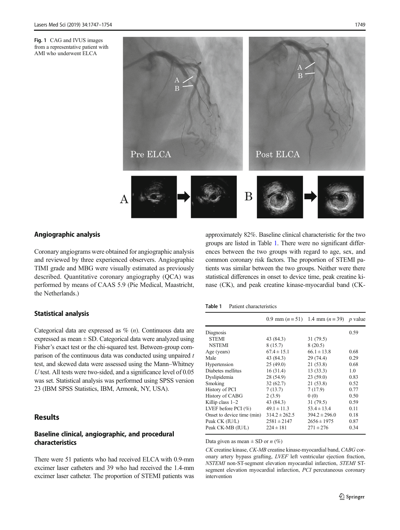<span id="page-2-0"></span>

### Angiographic analysis

Coronary angiograms were obtained for angiographic analysis and reviewed by three experienced observers. Angiographic TIMI grade and MBG were visually estimated as previously described. Quantitative coronary angiography (QCA) was performed by means of CAAS 5.9 (Pie Medical, Maastricht, the Netherlands.)

### Statistical analysis

Categorical data are expressed as  $\%$  (*n*). Continuous data are expressed as mean  $\pm$  SD. Categorical data were analyzed using Fisher's exact test or the chi-squared test. Between-group comparison of the continuous data was conducted using unpaired  $t$ test, and skewed data were assessed using the Mann–Whitney U test. All tests were two-sided, and a significance level of 0.05 was set. Statistical analysis was performed using SPSS version 23 (IBM SPSS Statistics, IBM, Armonk, NY, USA).

### **Results**

### Baseline clinical, angiographic, and procedural characteristics

There were 51 patients who had received ELCA with 0.9-mm excimer laser catheters and 39 who had received the 1.4-mm excimer laser catheter. The proportion of STEMI patients was approximately 82%. Baseline clinical characteristic for the two groups are listed in Table 1. There were no significant differences between the two groups with regard to age, sex, and common coronary risk factors. The proportion of STEMI patients was similar between the two groups. Neither were there statistical differences in onset to device time, peak creatine kinase (CK), and peak creatine kinase-myocardial band (CK-

#### Table 1 Patient characteristics

|                            |                   | 0.9 mm $(n = 51)$ 1.4 mm $(n = 39)$ p value |      |
|----------------------------|-------------------|---------------------------------------------|------|
| Diagnosis                  |                   |                                             | 0.59 |
| <b>STEMI</b>               | 43 (84.3)         | 31(79.5)                                    |      |
| <b>NSTEMI</b>              | 8(15.7)           | 8(20.5)                                     |      |
| Age (years)                | $67.4 \pm 15.1$   | $66.1 \pm 13.8$                             | 0.68 |
| Male                       | 43 (84.3)         | 29 (74.4)                                   | 0.29 |
| Hypertension               | 25(49.0)          | 21 (53.8)                                   | 0.68 |
| Diabetes mellitus          | 16(31.4)          | 13(33.3)                                    | 1.0  |
| Dyslipidemia               | 28 (54.9)         | 23(59.0)                                    | 0.83 |
| Smoking                    | 32(62.7)          | 21 (53.8)                                   | 0.52 |
| History of PCI             | 7(13.7)           | 7(17.9)                                     | 0.77 |
| History of CABG            | 2(3.9)            | 0(0)                                        | 0.50 |
| Killip class 1-2           | 43 (84.3)         | 31(79.5)                                    | 0.59 |
| LVEF before PCI $(\% )$    | $49.1 \pm 11.3$   | $53.4 \pm 13.4$                             | 0.11 |
| Onset to device time (min) | $314.2 \pm 262.5$ | $394.2 \pm 296.0$                           | 0.18 |
| Peak CK (IU/L)             | $2581 \pm 2147$   | $2656 \pm 1975$                             | 0.87 |
| Peak CK-MB (IU/L)          | $224 \pm 181$     | $271 \pm 276$                               | 0.34 |
|                            |                   |                                             |      |

#### Data given as mean  $\pm$  SD or *n* (%)

CK creatine kinase, CK-MB creatine kinase-myocardial band, CABG coronary artery bypass grafting, LVEF left ventricular ejection fraction, NSTEMI non-ST-segment elevation myocardial infarction, STEMI STsegment elevation myocardial infarction, *PCI* percutaneous coronary intervention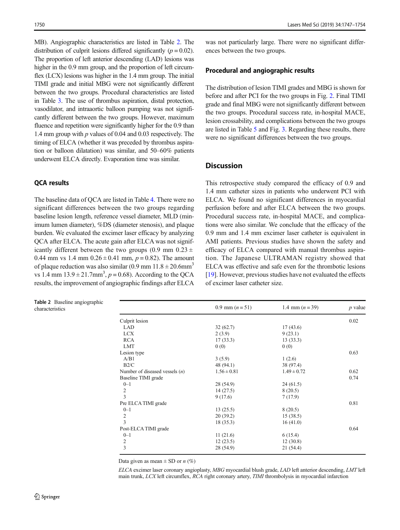MB). Angiographic characteristics are listed in Table 2. The distribution of culprit lesions differed significantly  $(p = 0.02)$ . The proportion of left anterior descending (LAD) lesions was higher in the 0.9 mm group, and the proportion of left circumflex (LCX) lesions was higher in the 1.4 mm group. The initial TIMI grade and initial MBG were not significantly different between the two groups. Procedural characteristics are listed in Table [3](#page-4-0). The use of thrombus aspiration, distal protection, vasodilator, and intraaortic balloon pumping was not significantly different between the two groups. However, maximum fluence and repetition were significantly higher for the 0.9 than 1.4 mm group with  $p$  values of 0.04 and 0.03 respectively. The timing of ELCA (whether it was preceded by thrombus aspiration or balloon dilatation) was similar, and 50–60% patients underwent ELCA directly. Evaporation time was similar.

### QCA results

The baseline data of QCA are listed in Table [4.](#page-4-0) There were no significant differences between the two groups regarding baseline lesion length, reference vessel diameter, MLD (minimum lumen diameter), %DS (diameter stenosis), and plaque burden. We evaluated the excimer laser efficacy by analyzing QCA after ELCA. The acute gain after ELCA was not significantly different between the two groups (0.9 mm  $0.23 \pm$ 0.44 mm vs 1.4 mm  $0.26 \pm 0.41$  mm,  $p = 0.82$ ). The amount of plaque reduction was also similar (0.9 mm  $11.8 \pm 20.6$ mm<sup>3</sup> vs 1.4 mm  $13.9 \pm 21.7$ mm<sup>3</sup>,  $p = 0.68$ ). According to the QCA results, the improvement of angiographic findings after ELCA

Table 2 Baseline angiographic

was not particularly large. There were no significant differences between the two groups.

#### Procedural and angiographic results

The distribution of lesion TIMI grades and MBG is shown for before and after PCI for the two groups in Fig. [2.](#page-5-0) Final TIMI grade and final MBG were not significantly different between the two groups. Procedural success rate, in-hospital MACE, lesion crossability, and complications between the two groups are listed in Table [5](#page-5-0) and Fig. [3.](#page-6-0) Regarding these results, there were no significant differences between the two groups.

### **Discussion**

This retrospective study compared the efficacy of 0.9 and 1.4 mm catheter sizes in patients who underwent PCI with ELCA. We found no significant differences in myocardial perfusion before and after ELCA between the two groups. Procedural success rate, in-hospital MACE, and complications were also similar. We conclude that the efficacy of the 0.9 mm and 1.4 mm excimer laser catheter is equivalent in AMI patients. Previous studies have shown the safety and efficacy of ELCA compared with manual thrombus aspiration. The Japanese ULTRAMAN registry showed that ELCA was effective and safe even for the thrombotic lesions [\[19](#page-7-0)]. However, previous studies have not evaluated the effects of excimer laser catheter size.

| <b>Table 2</b> Baseline anglographic<br>characteristics |                                  | 0.9 mm $(n=51)$ | 1.4 mm $(n=39)$ | $p$ value |
|---------------------------------------------------------|----------------------------------|-----------------|-----------------|-----------|
|                                                         | Culprit lesion                   |                 |                 | 0.02      |
|                                                         | LAD                              | 32(62.7)        | 17(43.6)        |           |
|                                                         | <b>LCX</b>                       | 2(3.9)          | 9(23.1)         |           |
|                                                         | <b>RCA</b>                       | 17(33.3)        | 13(33.3)        |           |
|                                                         | LMT                              | 0(0)            | 0(0)            |           |
|                                                         | Lesion type                      |                 |                 | 0.63      |
|                                                         | A/B1                             | 3(5.9)          | 1(2.6)          |           |
|                                                         | B2/C                             | 48 (94.1)       | 38 (97.4)       |           |
|                                                         | Number of diseased vessels $(n)$ | $1.56 \pm 0.81$ | $1.49 \pm 0.72$ | 0.62      |
|                                                         | Baseline TIMI grade              |                 |                 | 0.74      |
|                                                         | $0 - 1$                          | 28 (54.9)       | 24(61.5)        |           |
|                                                         | $\overline{c}$                   | 14(27.5)        | 8(20.5)         |           |
|                                                         | 3                                | 9(17.6)         | 7(17.9)         |           |
|                                                         | Pre ELCA TIMI grade              |                 |                 | 0.81      |
|                                                         | $0 - 1$                          | 13(25.5)        | 8(20.5)         |           |
|                                                         | 2                                | 20(39.2)        | 15(38.5)        |           |
|                                                         | 3                                | 18 (35.3)       | 16(41.0)        |           |
|                                                         | Post-ELCA TIMI grade             |                 |                 | 0.64      |
|                                                         | $0 - 1$                          | 11(21.6)        | 6(15.4)         |           |
|                                                         | $\overline{c}$                   | 12(23.5)        | 12(30.8)        |           |
|                                                         | 3                                | 28 (54.9)       | 21 (54.4)       |           |

Data given as mean  $\pm$  SD or *n* (%)

ELCA excimer laser coronary angioplasty, MBG myocardial blush grade, LAD left anterior descending, LMT left main trunk, LCX left circumflex, RCA right coronary artery, TIMI thrombolysis in myocardial infarction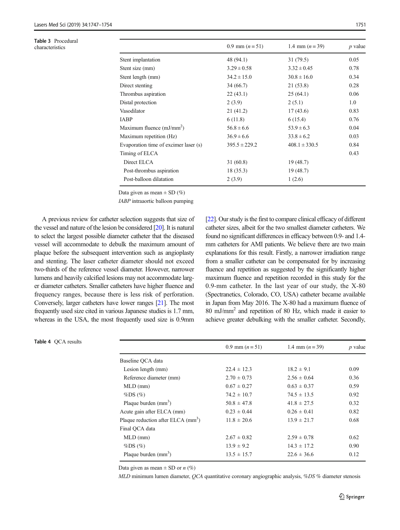<span id="page-4-0"></span>Table 3 Procedural<br>characteristics

Table 4 QCA results

| Table 3 Procedural<br>characteristics |                                       | 0.9 mm $(n=51)$   | 1.4 mm $(n=39)$   | $p$ value |
|---------------------------------------|---------------------------------------|-------------------|-------------------|-----------|
|                                       | Stent implantation                    | 48 (94.1)         | 31(79.5)          | 0.05      |
|                                       | Stent size (mm)                       | $3.29 \pm 0.58$   | $3.32 \pm 0.45$   | 0.78      |
|                                       | Stent length (mm)                     | $34.2 \pm 15.0$   | $30.8 \pm 16.0$   | 0.34      |
|                                       | Direct stenting                       | 34(66.7)          | 21(53.8)          | 0.28      |
|                                       | Thrombus aspiration                   | 22(43.1)          | 25(64.1)          | 0.06      |
|                                       | Distal protection                     | 2(3.9)            | 2(5.1)            | 1.0       |
|                                       | Vasodilator                           | 21(41.2)          | 17(43.6)          | 0.83      |
|                                       | <b>IABP</b>                           | 6(11.8)           | 6(15.4)           | 0.76      |
|                                       | Maximum fluence $(mJ/mm2)$            | $56.8 \pm 6.6$    | $53.9 \pm 6.3$    | 0.04      |
|                                       | Maximum repetition (Hz)               | $36.9 \pm 6.6$    | $33.8 \pm 6.2$    | 0.03      |
|                                       | Evaporation time of excimer laser (s) | $395.5 \pm 229.2$ | $408.1 \pm 330.5$ | 0.84      |
|                                       | Timing of ELCA                        |                   |                   | 0.43      |
|                                       | Direct ELCA                           | 31(60.8)          | 19(48.7)          |           |
|                                       | Post-thrombus aspiration              | 18(35.3)          | 19(48.7)          |           |
|                                       | Post-balloon dilatation               | 2(3.9)            | 1(2.6)            |           |
|                                       |                                       |                   |                   |           |

Data given as mean  $\pm$  SD (%)

IABP intraaortic balloon pumping

A previous review for catheter selection suggests that size of the vessel and nature of the lesion be considered [[20\]](#page-7-0). It is natural to select the largest possible diameter catheter that the diseased vessel will accommodate to debulk the maximum amount of plaque before the subsequent intervention such as angioplasty and stenting. The laser catheter diameter should not exceed two-thirds of the reference vessel diameter. However, narrower lumens and heavily calcified lesions may not accommodate larger diameter catheters. Smaller catheters have higher fluence and frequency ranges, because there is less risk of perforation. Conversely, larger catheters have lower ranges [[21](#page-7-0)]. The most frequently used size cited in various Japanese studies is 1.7 mm, whereas in the USA, the most frequently used size is 0.9mm

[\[22](#page-7-0)]. Our study is the first to compare clinical efficacy of different catheter sizes, albeit for the two smallest diameter catheters. We found no significant differences in efficacy between 0.9- and 1.4 mm catheters for AMI patients. We believe there are two main explanations for this result. Firstly, a narrower irradiation range from a smaller catheter can be compensated for by increasing fluence and repetition as suggested by the significantly higher maximum fluence and repetition recorded in this study for the 0.9-mm catheter. In the last year of our study, the X-80 (Spectranetics, Colorado, CO, USA) catheter became available in Japan from May 2016. The X-80 had a maximum fluence of 80 mJ/mm2 and repetition of 80 Hz, which made it easier to achieve greater debulking with the smaller catheter. Secondly,

|                                                | 0.9 mm $(n=51)$ | 1.4 mm $(n=39)$ | $p$ value |
|------------------------------------------------|-----------------|-----------------|-----------|
| Baseline QCA data                              |                 |                 |           |
| Lesion length (mm)                             | $22.4 \pm 12.3$ | $18.2 \pm 9.1$  | 0.09      |
| Reference diameter (mm)                        | $2.70 \pm 0.73$ | $2.56 \pm 0.64$ | 0.36      |
| $MLD$ (mm)                                     | $0.67 \pm 0.27$ | $0.63 \pm 0.37$ | 0.59      |
| $\%DS(\%)$                                     | $74.2 \pm 10.7$ | $74.5 \pm 13.5$ | 0.92      |
| Plaque burden $(mm3)$                          | $50.8 \pm 47.8$ | $41.8 \pm 27.5$ | 0.32      |
| Acute gain after ELCA (mm)                     | $0.23 \pm 0.44$ | $0.26 \pm 0.41$ | 0.82      |
| Plaque reduction after ELCA (mm <sup>3</sup> ) | $11.8 \pm 20.6$ | $13.9 \pm 21.7$ | 0.68      |
| Final OCA data                                 |                 |                 |           |
| $MLD$ (mm)                                     | $2.67 \pm 0.82$ | $2.59 \pm 0.78$ | 0.62      |
| $\%DS(\%)$                                     | $13.9 \pm 9.2$  | $14.3 \pm 17.2$ | 0.90      |
| Plaque burden $(mm3)$                          | $13.5 \pm 15.7$ | $22.6 \pm 36.6$ | 0.12      |

Data given as mean  $\pm$  SD or *n* (%)

MLD minimum lumen diameter, QCA quantitative coronary angiographic analysis, %DS % diameter stenosis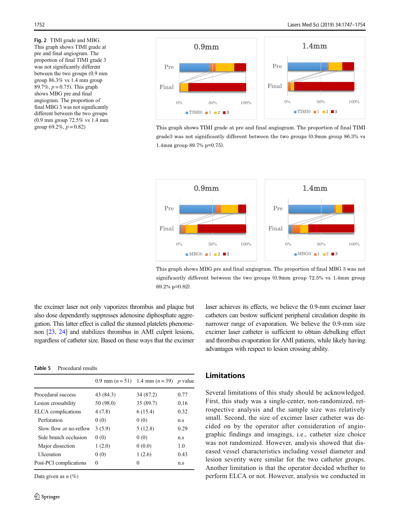<span id="page-5-0"></span>Fig. 2 TIMI grade and MBG. This graph shows TIMI grade at pre and final angiogram. The proportion of final TIMI grade 3 was not significantly different between the two groups (0.9 mm group 86.3% vs 1.4 mm group 89.7%,  $p = 0.75$ ). This graph shows MBG pre and final angiogram. The proportion of final MBG 3 was not significantly different between the two groups (0.9 mm group 72.5% vs 1.4 mm group 69.2%,  $p = 0.82$ )



This graph shows TIMI grade at pre and final angiogram. The proportion of final TIMI grade3 was not significantly different between the two groups (0.9mm group 86.3% vs 1.4mm group 89.7% p=0.75).



This graph shows MBG pre and final angiogram. The proportion of final MBG 3 was not significantly different between the two groups (0.9mm group 72.5% vs 1.4mm group 69.2% p=0.82).

the excimer laser not only vaporizes thrombus and plaque but also dose dependently suppresses adenosine diphosphate aggregation. This latter effect is called the stunned platelets phenomenon [\[23,](#page-7-0) [24](#page-7-0)] and stabilizes thrombus in AMI culprit lesions, regardless of catheter size. Based on these ways that the excimer

Table 5 Procedural results

|                        |           | 0.9 mm $(n=51)$ 1.4 mm $(n=39)$ p value |      |
|------------------------|-----------|-----------------------------------------|------|
| Procedural success     | 43 (84.3) | 34 (87.2)                               | 0.77 |
| Lesion crossability    | 50 (98.0) | 35 (89.7)                               | 0.16 |
| ELCA complications     | 4(7.8)    | 6(15.4)                                 | 0.32 |
| Perforation            | 0(0)      | 0(0)                                    | n.s  |
| Slow flow or no-reflow | 3(5.9)    | 5(12.8)                                 | 0.29 |
| Side branch occlusion  | 0(0)      | 0(0)                                    | n.s  |
| Major dissection       | 1(2.0)    | 0(0.0)                                  | 1.0  |
| <b>U</b> lceration     | 0(0)      | 1(2.6)                                  | 0.43 |
| Post-PCI complications | 0         | 0                                       | n.s  |

Data given as  $n$  (%)

laser achieves its effects, we believe the 0.9-mm excimer laser catheters can bestow sufficient peripheral circulation despite its narrower range of evaporation. We believe the 0.9-mm size excimer laser catheter is sufficient to obtain debulking effect and thrombus evaporation for AMI patients, while likely having advantages with respect to lesion crossing ability.

### Limitations

Several limitations of this study should be acknowledged. First, this study was a single-center, non-randomized, retrospective analysis and the sample size was relatively small. Second, the size of excimer laser catheter was decided on by the operator after consideration of angiographic findings and imagings, i.e., catheter size choice was not randomized. However, analysis showed that diseased vessel characteristics including vessel diameter and lesion severity were similar for the two catheter groups. Another limitation is that the operator decided whether to perform ELCA or not. However, analysis we conducted in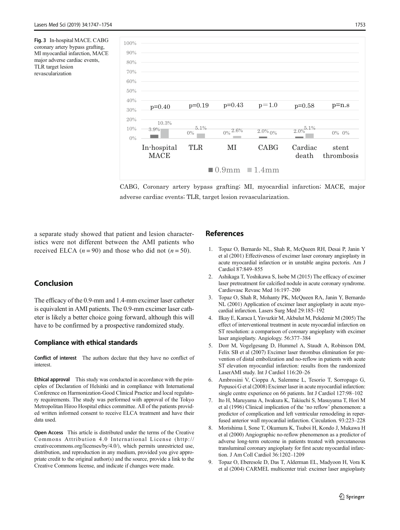<span id="page-6-0"></span>Fig. 3 In-hospital MACE. CABG coronary artery bypass grafting, MI myocardial infarction, MACE major adverse cardiac events, TLR target lesion revascularization



CABG, Coronary artery bypass grafting; MI, myocardial infarction; MACE, major adverse cardiac events; TLR, target lesion revascularization.

a separate study showed that patient and lesion characteristics were not different between the AMI patients who received ELCA  $(n = 90)$  and those who did not  $(n = 50)$ .

# Conclusion

The efficacy of the 0.9-mm and 1.4-mm excimer laser catheter is equivalent in AMI patients. The 0.9-mm excimer laser catheter is likely a better choice going forward, although this will have to be confirmed by a prospective randomized study.

### Compliance with ethical standards

Conflict of interest The authors declare that they have no conflict of interest.

Ethical approval This study was conducted in accordance with the principles of Declaration of Helsinki and in compliance with International Conference on Harmonization-Good Clinical Practice and local regulatory requirements. The study was performed with approval of the Tokyo Metropolitan Hiroo Hospital ethics committee. All of the patients provided written informed consent to receive ELCA treatment and have their data used.

Open Access This article is distributed under the terms of the Creative Commons Attribution 4.0 International License (http:// creativecommons.org/licenses/by/4.0/), which permits unrestricted use, distribution, and reproduction in any medium, provided you give appropriate credit to the original author(s) and the source, provide a link to the Creative Commons license, and indicate if changes were made.

### References

- 1. Topaz O, Bernardo NL, Shah R, McQueen RH, Desai P, Janin Y et al (2001) Effectiveness of excimer laser coronary angioplasty in acute myocardial infarction or in unstable angina pectoris. Am J Cardiol 87:849–855
- 2. Ashikaga T, Yoshikawa S, Isobe M (2015) The efficacy of excimer laser pretreatment for calcified nodule in acute coronary syndrome. Cardiovasc Revasc Med 16:197–200
- 3. Topaz O, Shah R, Mohanty PK, McQueen RA, Janin Y, Bernardo NL (2001) Application of excimer laser angioplasty in acute myocardial infarction. Lasers Surg Med 29:185–192
- 4. Ilkay E, Karaca I, Yavuzkir M, Akbulut M, Pekdemir M (2005) The effect of interventional treatment in acute myocardial infarction on ST resolution: a comparison of coronary angioplasty with excimer laser angioplasty. Angiology. 56:377–384
- 5. Dorr M, Vogelgesang D, Hummel A, Staudt A, Robinson DM, Felix SB et al (2007) Excimer laser thrombus elimination for prevention of distal embolization and no-reflow in patients with acute ST elevation myocardial infarction: results from the randomized LaserAMI study. Int J Cardiol 116:20–26
- 6. Ambrosini V, Cioppa A, Salemme L, Tesorio T, Sorropago G, Popusoi G et al (2008) Excimer laser in acute myocardial infarction: single centre experience on 66 patients. Int J Cardiol 127:98–102
- 7. Ito H, Maruyama A, Iwakura K, Takiuchi S, Masuyama T, Hori M et al (1996) Clinical implication of the 'no reflow' phenomenon: a predictor of complication and left ventricular remodeling in reperfused anterior wall myocardial infarction. Circulation. 93:223–228
- 8. Morishima I, Sone T, Okumura K, Tsuboi H, Kondo J, Mukawa H et al (2000) Angiographic no-reflow phenomenon as a predictor of adverse long-term outcome in patients treated with percutaneous transluminal coronary angioplasty for first acute myocardial infarction. J Am Coll Cardiol 36:1202–1209
- 9. Topaz O, Eberesole D, Das T, Alderman EL, Madyoon H, Vora K et al (2004) CARMEL multicenter trial: excimer laser angioplasty